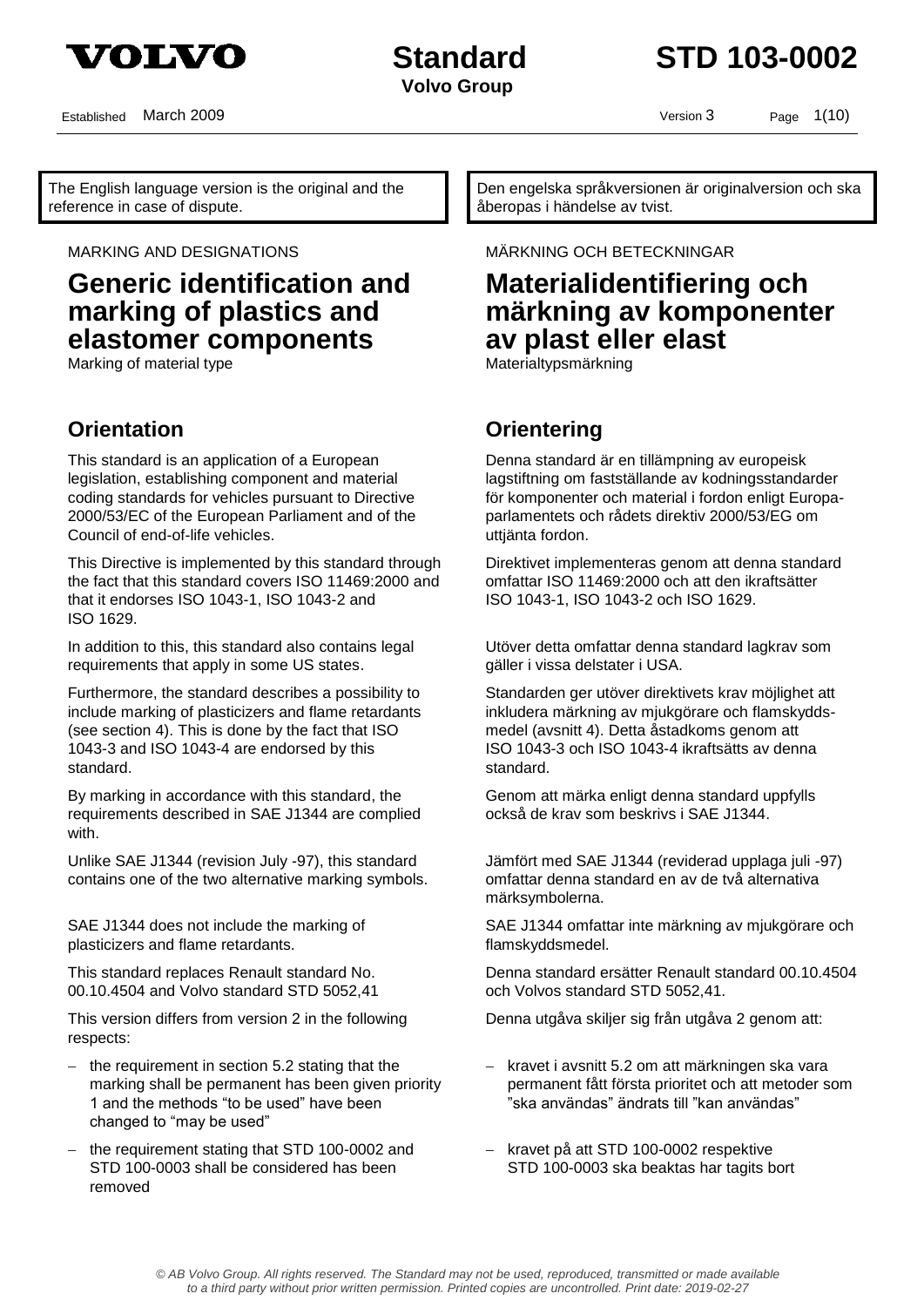

**Volvo Group**

## **Standard STD 103-0002**

Established March 2009 Version 3 Page 1(10)

The English language version is the original and the reference in case of dispute.

## **Generic identification and marking of plastics and elastomer components**

Marking of material type

### **Orientation Orientering**

This standard is an application of a European legislation, establishing component and material coding standards for vehicles pursuant to Directive 2000/53/EC of the European Parliament and of the Council of end-of-life vehicles.

This Directive is implemented by this standard through the fact that this standard covers ISO 11469:2000 and that it endorses ISO 1043-1, ISO 1043-2 and ISO 1629.

In addition to this, this standard also contains legal requirements that apply in some US states.

Furthermore, the standard describes a possibility to include marking of plasticizers and flame retardants (see section 4). This is done by the fact that ISO 1043-3 and ISO 1043-4 are endorsed by this standard.

By marking in accordance with this standard, the requirements described in SAE J1344 are complied with.

Unlike SAE J1344 (revision July -97), this standard contains one of the two alternative marking symbols.

SAE J1344 does not include the marking of plasticizers and flame retardants.

This standard replaces Renault standard No. 00.10.4504 and Volvo standard STD 5052,41

This version differs from version 2 in the following respects:

- $-$  the requirement in section 5.2 stating that the marking shall be permanent has been given priority 1 and the methods "to be used" have been changed to "may be used"
- the requirement stating that STD 100-0002 and STD 100-0003 shall be considered has been removed

Den engelska språkversionen är originalversion och ska åberopas i händelse av tvist.

### MARKING AND DESIGNATIONS MÄRKNING OCH BETECKNINGAR

## **Materialidentifiering och märkning av komponenter av plast eller elast**<br>Materialtypsmärkning

Denna standard är en tillämpning av europeisk lagstiftning om fastställande av kodningsstandarder för komponenter och material i fordon enligt Europaparlamentets och rådets direktiv 2000/53/EG om uttjänta fordon.

Direktivet implementeras genom att denna standard omfattar ISO 11469:2000 och att den ikraftsätter ISO 1043-1, ISO 1043-2 och ISO 1629.

Utöver detta omfattar denna standard lagkrav som gäller i vissa delstater i USA.

Standarden ger utöver direktivets krav möjlighet att inkludera märkning av mjukgörare och flamskyddsmedel (avsnitt 4). Detta åstadkoms genom att ISO 1043-3 och ISO 1043-4 ikraftsätts av denna standard.

Genom att märka enligt denna standard uppfylls också de krav som beskrivs i SAE J1344.

Jämfört med SAE J1344 (reviderad upplaga juli -97) omfattar denna standard en av de två alternativa märksymbolerna.

SAE J1344 omfattar inte märkning av mjukgörare och flamskyddsmedel.

Denna standard ersätter Renault standard 00.10.4504 och Volvos standard STD 5052,41.

Denna utgåva skiljer sig från utgåva 2 genom att:

- kravet i avsnitt 5.2 om att märkningen ska vara permanent fått första prioritet och att metoder som "ska användas" ändrats till "kan användas"
- kravet på att STD 100-0002 respektive STD 100-0003 ska beaktas har tagits bort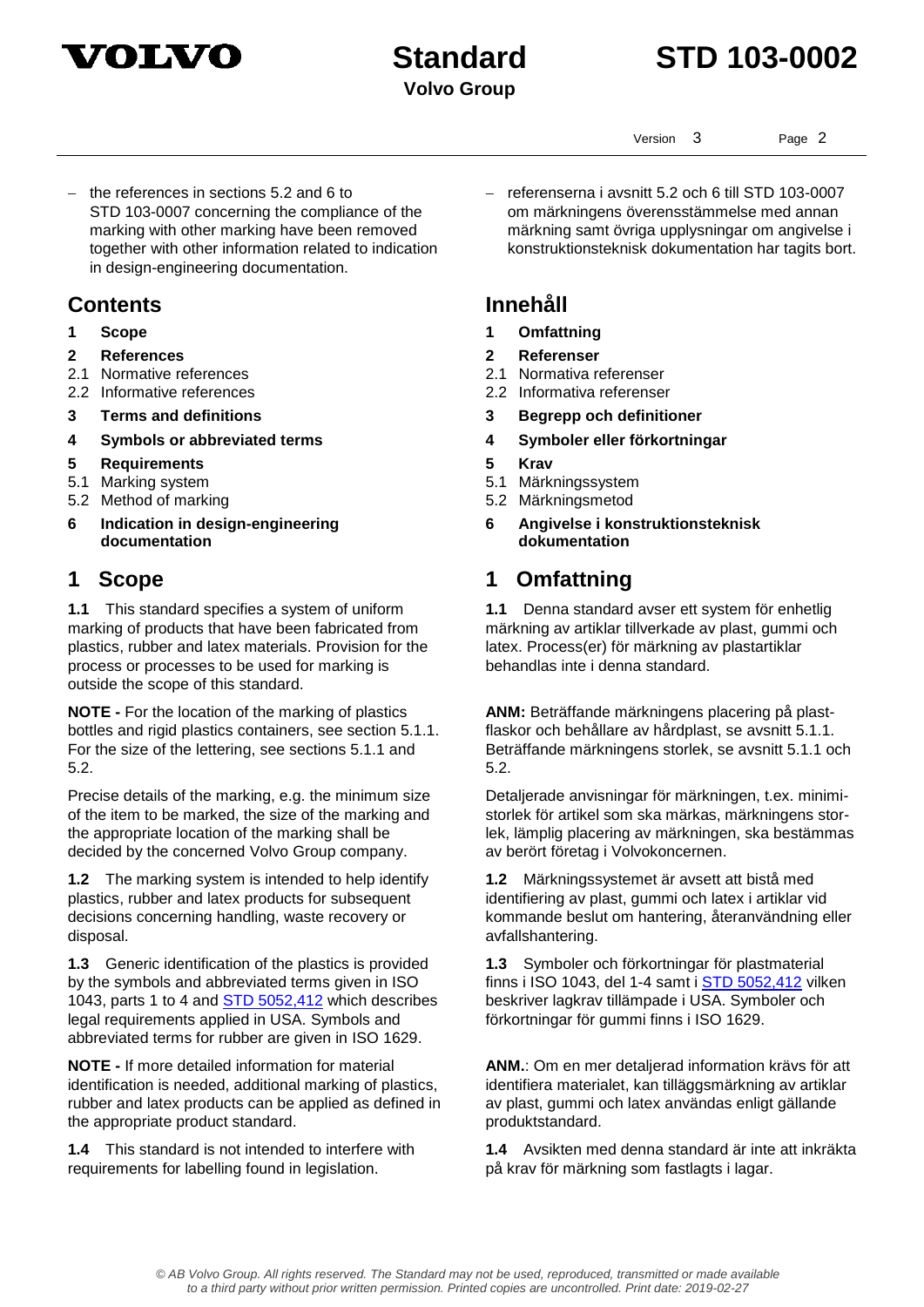

# **Volvo Group**

## **Standard STD 103-0002**

Version 3 Page 2

 $-$  the references in sections 5.2 and 6 to STD 103-0007 concerning the compliance of the marking with other marking have been removed together with other information related to indication in design-engineering documentation.

### **Contents Innehåll**

- 
- 
- **2 References 2 Referenser** 2.1 Normative references 2.1 Normativa referenser
- 2.2 Informative references 2.2 Informativa referenser
- 
- **4 Symbols or abbreviated terms 4 Symboler eller förkortningar**
- **5 Requirements 5 Krav**
- 5.1 Marking system 5.1 Märkningssystem
- 5.2 Method of marking 5.2 Märkningsmetod
- **6 Indication in design-engineering documentation**

**1.1** This standard specifies a system of uniform marking of products that have been fabricated from plastics, rubber and latex materials. Provision for the process or processes to be used for marking is outside the scope of this standard.

**NOTE -** For the location of the marking of plastics bottles and rigid plastics containers, see section 5.1.1. For the size of the lettering, see sections 5.1.1 and 5.2.

Precise details of the marking, e.g. the minimum size of the item to be marked, the size of the marking and the appropriate location of the marking shall be decided by the concerned Volvo Group company.

**1.2** The marking system is intended to help identify plastics, rubber and latex products for subsequent decisions concerning handling, waste recovery or disposal.

**1.3** Generic identification of the plastics is provided by the symbols and abbreviated terms given in ISO 1043, parts 1 to 4 and [STD 5052,412](5052412.pdf) which describes legal requirements applied in USA. Symbols and abbreviated terms for rubber are given in ISO 1629.

**NOTE -** If more detailed information for material identification is needed, additional marking of plastics, rubber and latex products can be applied as defined in the appropriate product standard.

**1.4** This standard is not intended to interfere with requirements for labelling found in legislation.

 referenserna i avsnitt 5.2 och 6 till STD 103-0007 om märkningens överensstämmelse med annan märkning samt övriga upplysningar om angivelse i konstruktionsteknisk dokumentation har tagits bort.

- **1 Scope 1 Omfattning** 
	-
	-
	-
- **3 Terms and definitions 3 Begrepp och definitioner**
	-
	-
	-
	-
	- **6 Angivelse i konstruktionsteknisk dokumentation**

## **1 Scope 1 Omfattning**

**1.1** Denna standard avser ett system för enhetlig märkning av artiklar tillverkade av plast, gummi och latex. Process(er) för märkning av plastartiklar behandlas inte i denna standard.

**ANM:** Beträffande märkningens placering på plastflaskor och behållare av hårdplast, se avsnitt 5.1.1. Beträffande märkningens storlek, se avsnitt 5.1.1 och 5.2.

Detaljerade anvisningar för märkningen, t.ex. minimistorlek för artikel som ska märkas, märkningens storlek, lämplig placering av märkningen, ska bestämmas av berört företag i Volvokoncernen.

**1.2** Märkningssystemet är avsett att bistå med identifiering av plast, gummi och latex i artiklar vid kommande beslut om hantering, återanvändning eller avfallshantering.

**1.3** Symboler och förkortningar för plastmaterial finns i ISO 1043, del 1-4 samt i [STD 5052,412](5052412.pdf) vilken beskriver lagkrav tillämpade i USA. Symboler och förkortningar för gummi finns i ISO 1629.

**ANM.**: Om en mer detaljerad information krävs för att identifiera materialet, kan tilläggsmärkning av artiklar av plast, gummi och latex användas enligt gällande produktstandard.

**1.4** Avsikten med denna standard är inte att inkräkta på krav för märkning som fastlagts i lagar.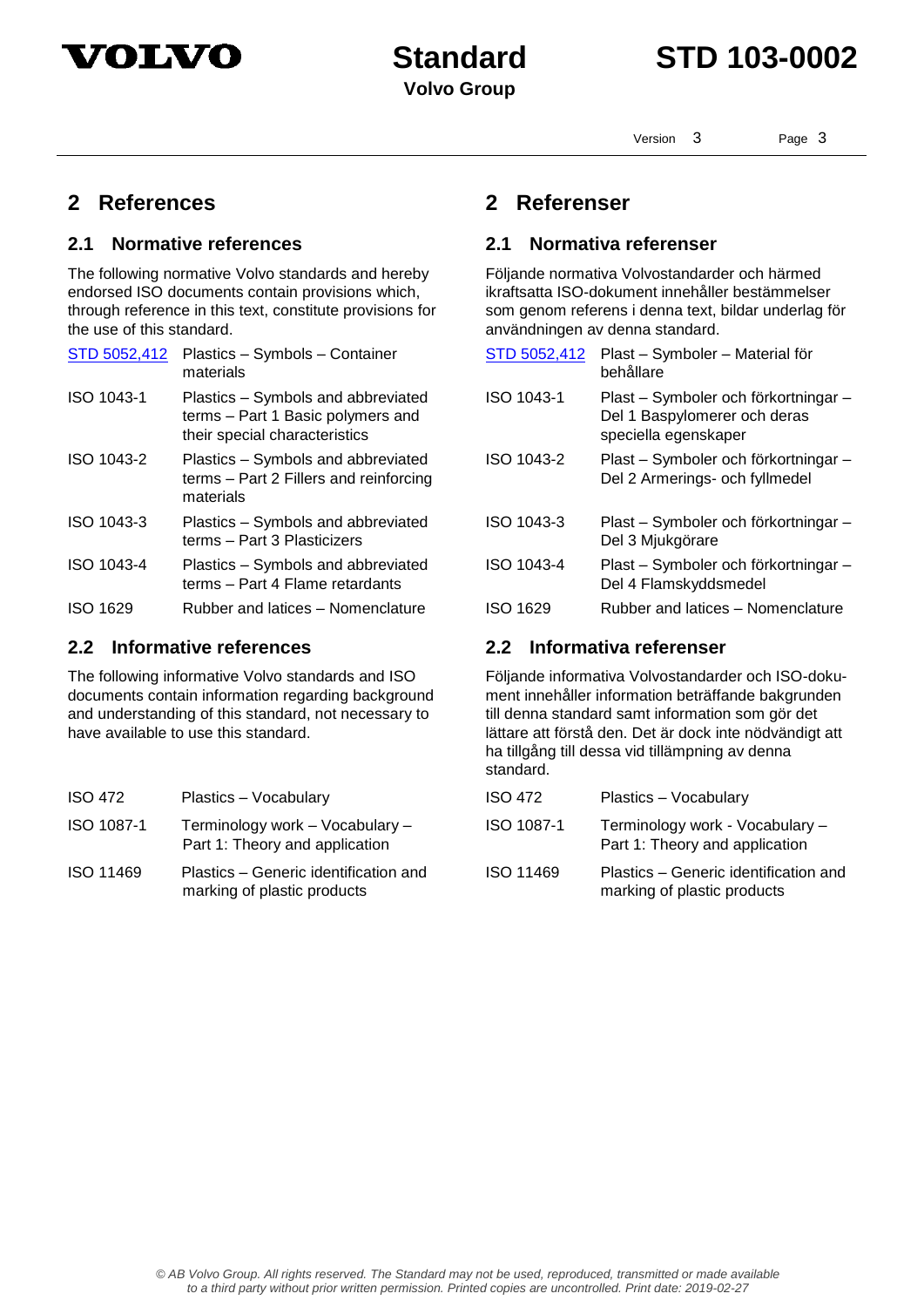

Version 3 Page 3

**2 References 2 Referenser**

### **2.1 Normative references 2.1 Normativa referenser**

The following normative Volvo standards and hereby endorsed ISO documents contain provisions which, through reference in this text, constitute provisions for the use of this standard.

| STD 5052,412    | Plastics - Symbols - Container<br>materials                                                              | STD 5052,412 | Plast - Symboler - Material för<br>behållare                                               |
|-----------------|----------------------------------------------------------------------------------------------------------|--------------|--------------------------------------------------------------------------------------------|
| ISO 1043-1      | Plastics - Symbols and abbreviated<br>terms - Part 1 Basic polymers and<br>their special characteristics | ISO 1043-1   | Plast – Symboler och förkortningar<br>Del 1 Baspylomerer och deras<br>speciella egenskaper |
| ISO 1043-2      | Plastics - Symbols and abbreviated<br>terms - Part 2 Fillers and reinforcing<br>materials                | ISO 1043-2   | Plast – Symboler och förkortningar<br>Del 2 Armerings- och fyllmedel                       |
| ISO 1043-3      | Plastics - Symbols and abbreviated<br>terms - Part 3 Plasticizers                                        | ISO 1043-3   | Plast – Symboler och förkortningar<br>Del 3 Mjukgörare                                     |
| ISO 1043-4      | Plastics - Symbols and abbreviated<br>terms - Part 4 Flame retardants                                    | ISO 1043-4   | Plast – Symboler och förkortningar<br>Del 4 Flamskyddsmedel                                |
| <b>ISO 1629</b> | Rubber and latices - Nomenclature                                                                        | ISO 1629     | Rubber and latices - Nomenclature                                                          |

### **2.2 Informative references 2.2 Informativa referenser**

The following informative Volvo standards and ISO documents contain information regarding background and understanding of this standard, not necessary to have available to use this standard.

| <b>ISO 472</b> | Plastics - Vocabulary                                                | <b>ISO 472</b>   | Plastics - Vocabulary                            |
|----------------|----------------------------------------------------------------------|------------------|--------------------------------------------------|
| ISO 1087-1     | Terminology work – Vocabulary –<br>Part 1: Theory and application    | ISO 1087-1       | Terminology work - V<br>Part 1: Theory and ap    |
| ISO 11469      | Plastics - Generic identification and<br>marking of plastic products | <b>ISO 11469</b> | Plastics - Generic ide<br>marking of plastic pro |

Följande normativa Volvostandarder och härmed ikraftsatta ISO-dokument innehåller bestämmelser som genom referens i denna text, bildar underlag för användningen av denna standard.

| STD 5052,412 | Plast - Symboler - Material för<br>behållare                                                 |
|--------------|----------------------------------------------------------------------------------------------|
| ISO 1043-1   | Plast – Symboler och förkortningar –<br>Del 1 Baspylomerer och deras<br>speciella egenskaper |
| ISO 1043-2   | Plast - Symboler och förkortningar -<br>Del 2 Armerings- och fyllmedel                       |
| ISO 1043-3   | Plast – Symboler och förkortningar –<br>Del 3 Mjukgörare                                     |
| ISO 1043-4   | Plast - Symboler och förkortningar -<br>Del 4 Flamskyddsmedel                                |
| ISO 1629     | Rubber and latices - Nomenclature                                                            |

Följande informativa Volvostandarder och ISO-dokument innehåller information beträffande bakgrunden till denna standard samt information som gör det lättare att förstå den. Det är dock inte nödvändigt att ha tillgång till dessa vid tillämpning av denna standard.

| <b>ISO 472</b> | Plastics - Vocabulary                                                |
|----------------|----------------------------------------------------------------------|
| ISO 1087-1     | Terminology work - Vocabulary -<br>Part 1: Theory and application    |
| ISO 11469      | Plastics – Generic identification and<br>marking of plastic products |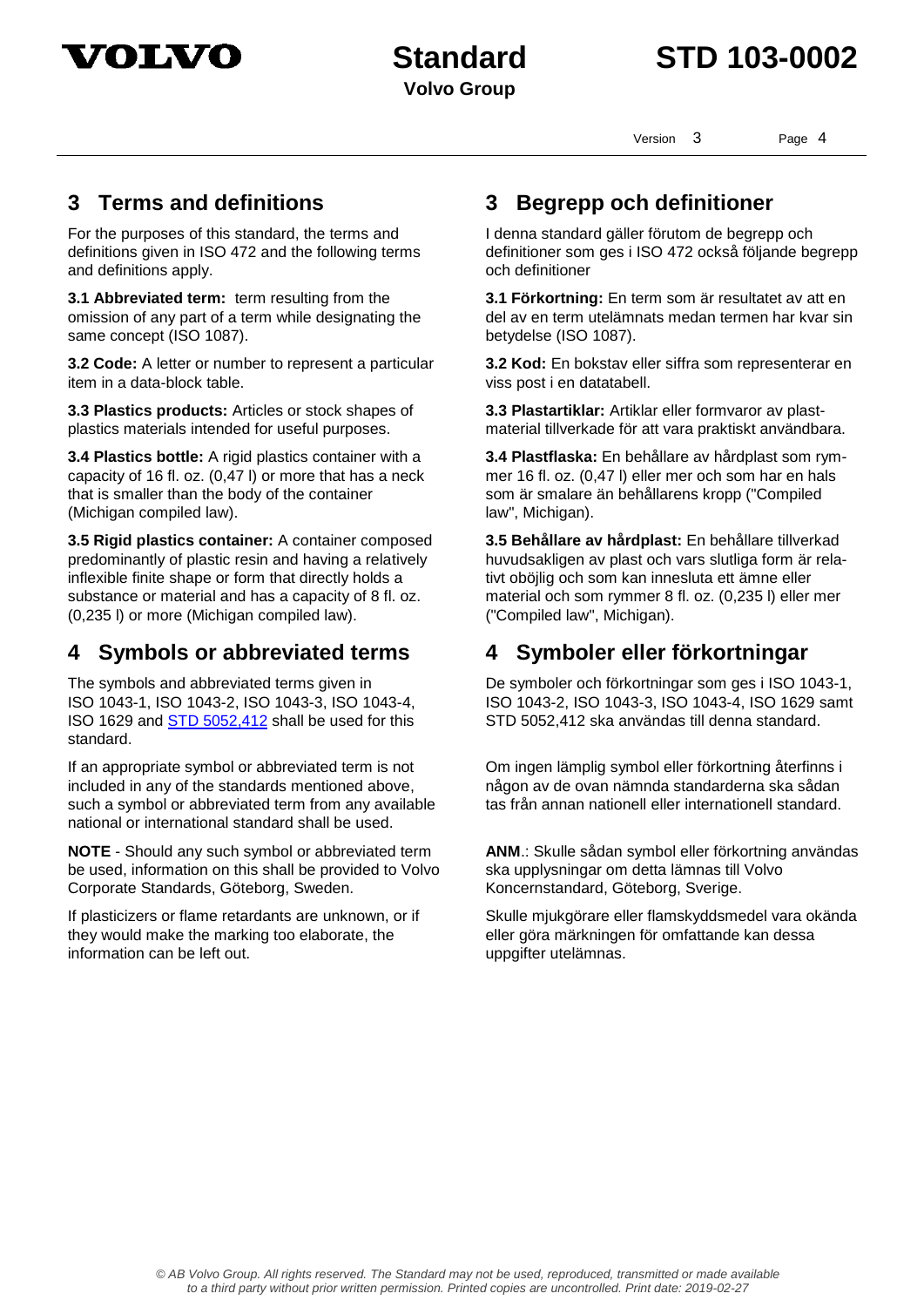

Version 3 Page 4

For the purposes of this standard, the terms and definitions given in ISO 472 and the following terms and definitions apply.

**3.1 Abbreviated term:** term resulting from the omission of any part of a term while designating the same concept (ISO 1087).

**3.2 Code:** A letter or number to represent a particular item in a data-block table.

**3.3 Plastics products:** Articles or stock shapes of plastics materials intended for useful purposes.

**3.4 Plastics bottle:** A rigid plastics container with a capacity of 16 fl. oz. (0,47 l) or more that has a neck that is smaller than the body of the container (Michigan compiled law).

**3.5 Rigid plastics container:** A container composed predominantly of plastic resin and having a relatively inflexible finite shape or form that directly holds a substance or material and has a capacity of 8 fl. oz. (0,235 l) or more (Michigan compiled law).

### **4 Symbols or abbreviated terms 4 Symboler eller förkortningar**

The symbols and abbreviated terms given in ISO 1043-1, ISO 1043-2, ISO 1043-3, ISO 1043-4, ISO 1629 and [STD 5052,412](5052412.pdf) shall be used for this standard.

If an appropriate symbol or abbreviated term is not included in any of the standards mentioned above, such a symbol or abbreviated term from any available national or international standard shall be used.

**NOTE** - Should any such symbol or abbreviated term be used, information on this shall be provided to Volvo Corporate Standards, Göteborg, Sweden.

If plasticizers or flame retardants are unknown, or if they would make the marking too elaborate, the information can be left out.

### **3 Terms and definitions 3 Begrepp och definitioner**

I denna standard gäller förutom de begrepp och definitioner som ges i ISO 472 också följande begrepp och definitioner

**3.1 Förkortning:** En term som är resultatet av att en del av en term utelämnats medan termen har kvar sin betydelse (ISO 1087).

**3.2 Kod:** En bokstav eller siffra som representerar en viss post i en datatabell.

**3.3 Plastartiklar:** Artiklar eller formvaror av plastmaterial tillverkade för att vara praktiskt användbara.

**3.4 Plastflaska:** En behållare av hårdplast som rymmer 16 fl. oz. (0,47 l) eller mer och som har en hals som är smalare än behållarens kropp ("Compiled law", Michigan).

**3.5 Behållare av hårdplast:** En behållare tillverkad huvudsakligen av plast och vars slutliga form är relativt oböjlig och som kan innesluta ett ämne eller material och som rymmer 8 fl. oz. (0,235 l) eller mer ("Compiled law", Michigan).

De symboler och förkortningar som ges i ISO 1043-1, ISO 1043-2, ISO 1043-3, ISO 1043-4, ISO 1629 samt STD 5052,412 ska användas till denna standard.

Om ingen lämplig symbol eller förkortning återfinns i någon av de ovan nämnda standarderna ska sådan tas från annan nationell eller internationell standard.

**ANM**.: Skulle sådan symbol eller förkortning användas ska upplysningar om detta lämnas till Volvo Koncernstandard, Göteborg, Sverige.

Skulle mjukgörare eller flamskyddsmedel vara okända eller göra märkningen för omfattande kan dessa uppgifter utelämnas.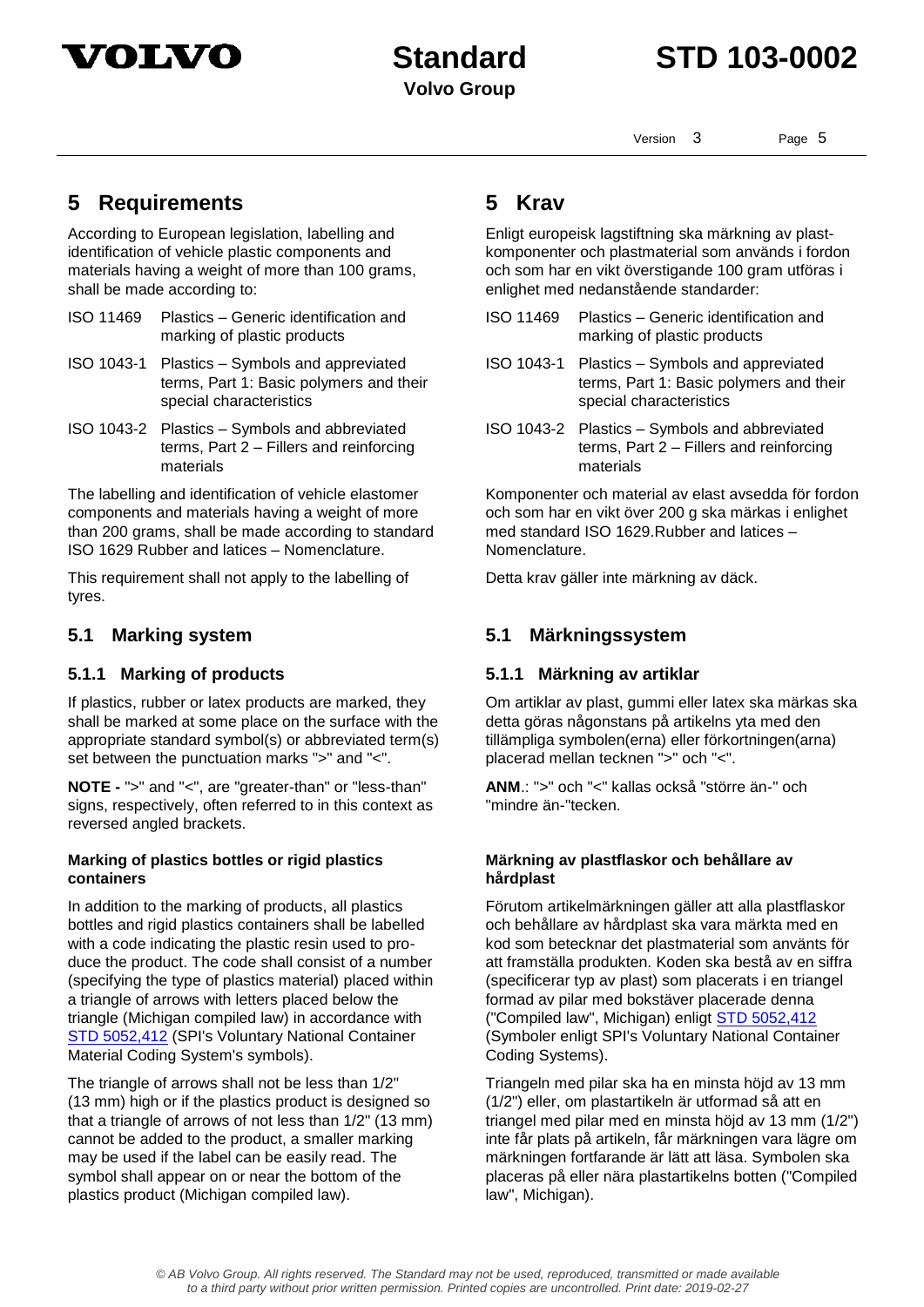

Version 3 Page 5

### **5 Requirements 5 Krav**

According to European legislation, labelling and identification of vehicle plastic components and materials having a weight of more than 100 grams, shall be made according to:

- ISO 11469 Plastics Generic identification and marking of plastic products
- ISO 1043-1 Plastics Symbols and appreviated terms, Part 1: Basic polymers and their special characteristics
- ISO 1043-2 Plastics Symbols and abbreviated terms, Part 2 – Fillers and reinforcing materials

The labelling and identification of vehicle elastomer components and materials having a weight of more than 200 grams, shall be made according to standard ISO 1629 Rubber and latices – Nomenclature.

This requirement shall not apply to the labelling of tyres.

### **5.1.1 Marking of products 5.1.1 Märkning av artiklar**

If plastics, rubber or latex products are marked, they shall be marked at some place on the surface with the appropriate standard symbol(s) or abbreviated term(s) set between the punctuation marks ">" and "<".

**NOTE -** ">" and "<", are "greater-than" or "less-than" signs, respectively, often referred to in this context as reversed angled brackets.

#### **Marking of plastics bottles or rigid plastics containers**

In addition to the marking of products, all plastics bottles and rigid plastics containers shall be labelled with a code indicating the plastic resin used to produce the product. The code shall consist of a number (specifying the type of plastics material) placed within a triangle of arrows with letters placed below the triangle (Michigan compiled law) in accordance with [STD 5052,412](5052412.pdf) (SPI's Voluntary National Container Material Coding System's symbols).

The triangle of arrows shall not be less than 1/2" (13 mm) high or if the plastics product is designed so that a triangle of arrows of not less than 1/2" (13 mm) cannot be added to the product, a smaller marking may be used if the label can be easily read. The symbol shall appear on or near the bottom of the plastics product (Michigan compiled law).

Enligt europeisk lagstiftning ska märkning av plastkomponenter och plastmaterial som används i fordon och som har en vikt överstigande 100 gram utföras i enlighet med nedanstående standarder:

- ISO 11469 Plastics Generic identification and marking of plastic products
- ISO 1043-1 Plastics Symbols and appreviated terms, Part 1: Basic polymers and their special characteristics
- ISO 1043-2 Plastics Symbols and abbreviated terms, Part 2 – Fillers and reinforcing materials

Komponenter och material av elast avsedda för fordon och som har en vikt över 200 g ska märkas i enlighet med standard ISO 1629.Rubber and latices – Nomenclature.

Detta krav gäller inte märkning av däck.

### **5.1 Marking system 5.1 Märkningssystem**

Om artiklar av plast, gummi eller latex ska märkas ska detta göras någonstans på artikelns yta med den tillämpliga symbolen(erna) eller förkortningen(arna) placerad mellan tecknen ">" och "<".

**ANM**.: ">" och "<" kallas också "större än-" och "mindre än-"tecken.

#### **Märkning av plastflaskor och behållare av hårdplast**

Förutom artikelmärkningen gäller att alla plastflaskor och behållare av hårdplast ska vara märkta med en kod som betecknar det plastmaterial som använts för att framställa produkten. Koden ska bestå av en siffra (specificerar typ av plast) som placerats i en triangel formad av pilar med bokstäver placerade denna ("Compiled law", Michigan) enligt [STD 5052,412](5052412.pdf) (Symboler enligt SPI's Voluntary National Container Coding Systems).

Triangeln med pilar ska ha en minsta höjd av 13 mm (1/2") eller, om plastartikeln är utformad så att en triangel med pilar med en minsta höjd av 13 mm (1/2") inte får plats på artikeln, får märkningen vara lägre om märkningen fortfarande är lätt att läsa. Symbolen ska placeras på eller nära plastartikelns botten ("Compiled law", Michigan).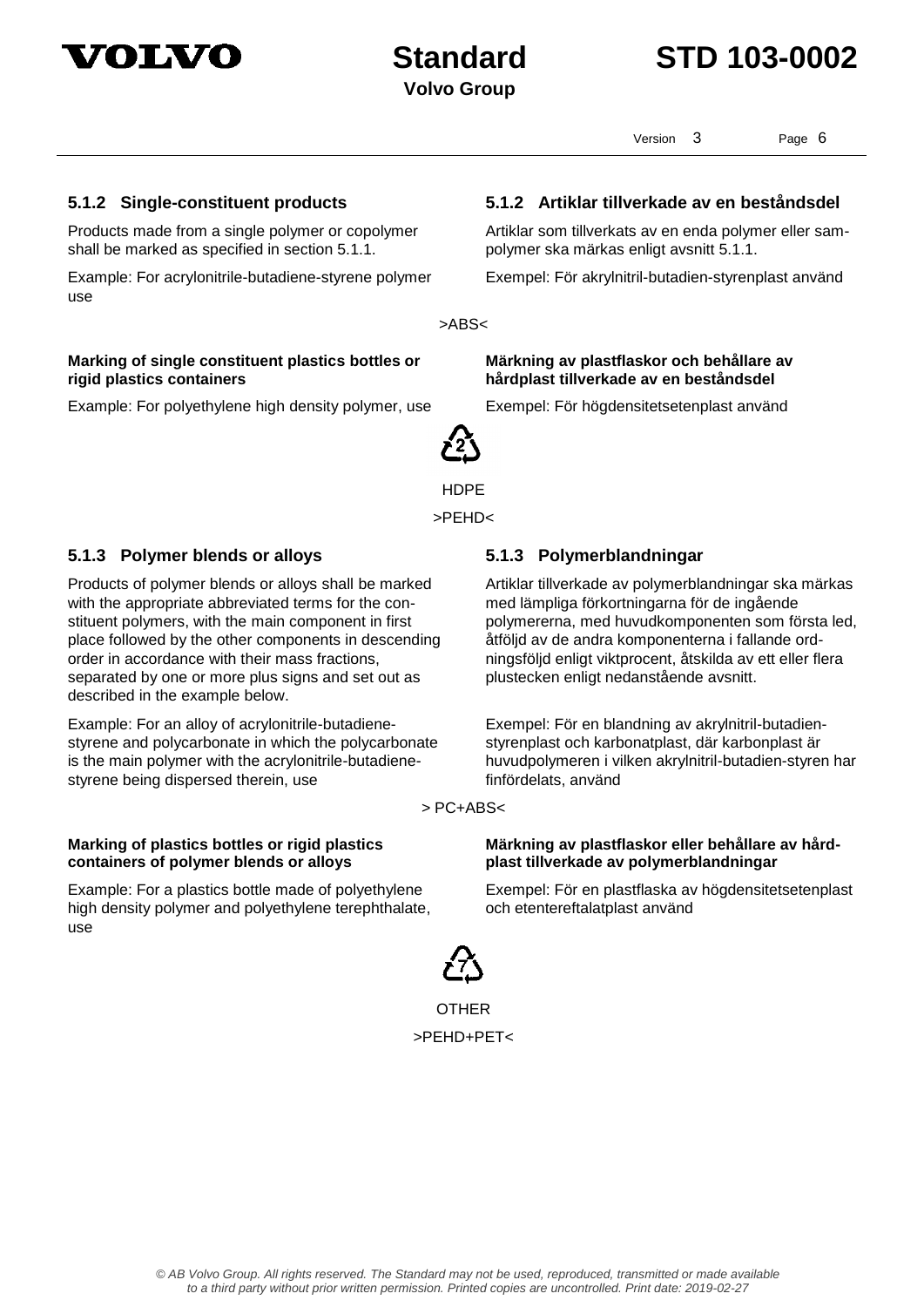



Version 3 Page 6

Products made from a single polymer or copolymer shall be marked as specified in section 5.1.1.

Example: For acrylonitrile-butadiene-styrene polymer use

#### **Marking of single constituent plastics bottles or rigid plastics containers**

Example: For polyethylene high density polymer, use Exempel: För högdensitetsetenplast använd

### **5.1.2 Single-constituent products 5.1.2 Artiklar tillverkade av en beståndsdel**

Artiklar som tillverkats av en enda polymer eller sampolymer ska märkas enligt avsnitt 5.1.1.

Exempel: För akrylnitril-butadien-styrenplast använd

>ABS<

#### **Märkning av plastflaskor och behållare av hårdplast tillverkade av en beståndsdel**



HDPE

>PEHD<

#### **5.1.3 Polymer blends or alloys 5.1.3 Polymerblandningar**

Products of polymer blends or alloys shall be marked with the appropriate abbreviated terms for the constituent polymers, with the main component in first place followed by the other components in descending order in accordance with their mass fractions, separated by one or more plus signs and set out as described in the example below.

Example: For an alloy of acrylonitrile-butadienestyrene and polycarbonate in which the polycarbonate is the main polymer with the acrylonitrile-butadienestyrene being dispersed therein, use

#### **Marking of plastics bottles or rigid plastics containers of polymer blends or alloys**

Example: For a plastics bottle made of polyethylene high density polymer and polyethylene terephthalate, use

Artiklar tillverkade av polymerblandningar ska märkas med lämpliga förkortningarna för de ingående polymererna, med huvudkomponenten som första led, åtföljd av de andra komponenterna i fallande ordningsföljd enligt viktprocent, åtskilda av ett eller flera plustecken enligt nedanstående avsnitt.

Exempel: För en blandning av akrylnitril-butadienstyrenplast och karbonatplast, där karbonplast är huvudpolymeren i vilken akrylnitril-butadien-styren har finfördelats, använd

> PC+ABS<

#### **Märkning av plastflaskor eller behållare av hårdplast tillverkade av polymerblandningar**

Exempel: För en plastflaska av högdensitetsetenplast och etentereftalatplast använd



**OTHER** >PEHD+PET<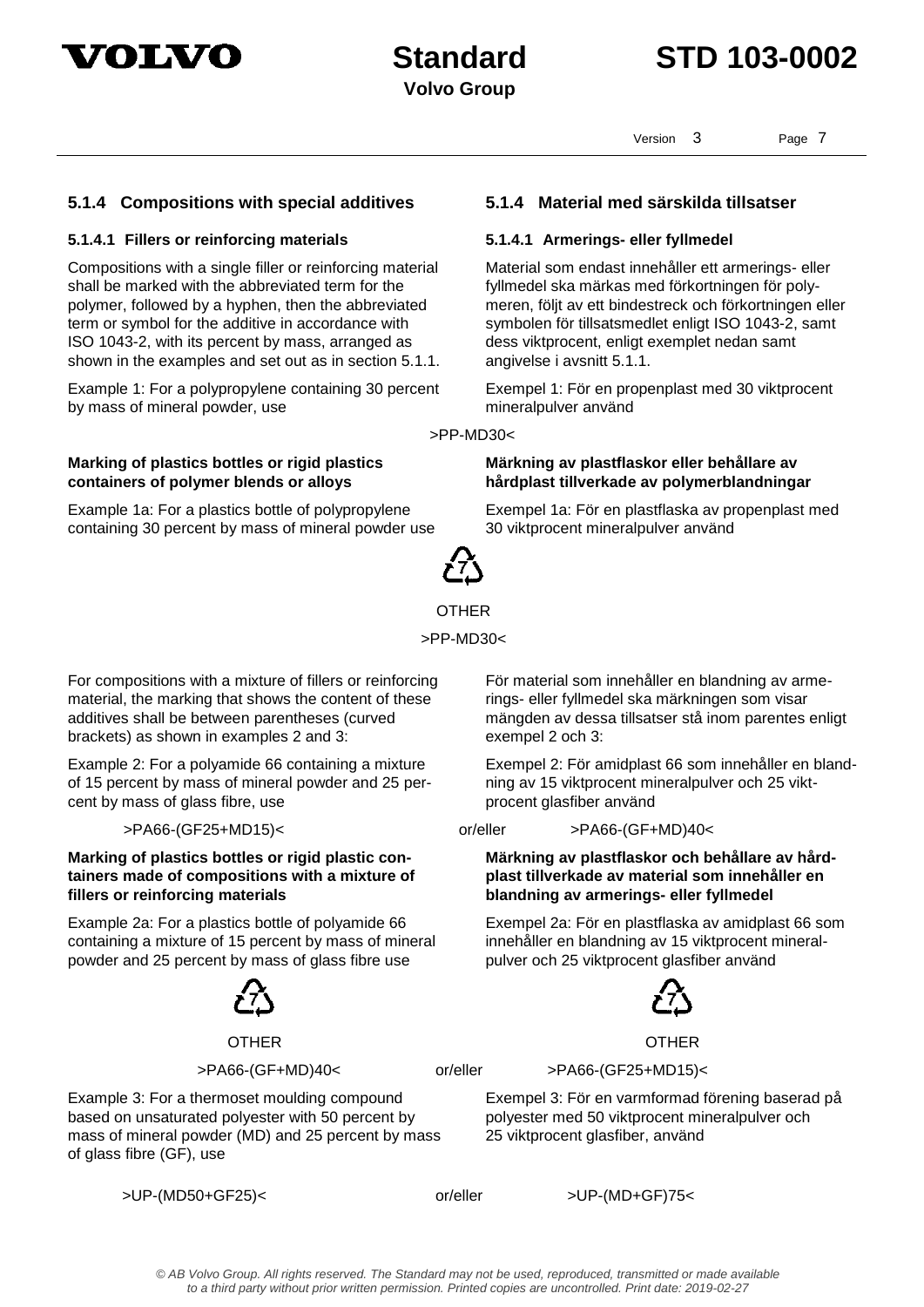



Version 3 Page 7

### **5.1.4 Compositions with special additives 5.1.4 Material med särskilda tillsatser**

#### **5.1.4.1 Fillers or reinforcing materials 5.1.4.1 Armerings- eller fyllmedel**

Compositions with a single filler or reinforcing material shall be marked with the abbreviated term for the polymer, followed by a hyphen, then the abbreviated term or symbol for the additive in accordance with ISO 1043-2, with its percent by mass, arranged as shown in the examples and set out as in section 5.1.1.

Example 1: For a polypropylene containing 30 percent by mass of mineral powder, use

#### **Marking of plastics bottles or rigid plastics containers of polymer blends or alloys**

Example 1a: For a plastics bottle of polypropylene containing 30 percent by mass of mineral powder use

Material som endast innehåller ett armerings- eller fyllmedel ska märkas med förkortningen för polymeren, följt av ett bindestreck och förkortningen eller symbolen för tillsatsmedlet enligt ISO 1043-2, samt dess viktprocent, enligt exemplet nedan samt angivelse i avsnitt 5.1.1.

Exempel 1: För en propenplast med 30 viktprocent mineralpulver använd

>PP-MD30<

#### **Märkning av plastflaskor eller behållare av hårdplast tillverkade av polymerblandningar**

Exempel 1a: För en plastflaska av propenplast med 30 viktprocent mineralpulver använd



### **OTHER**

### >PP-MD30<

For compositions with a mixture of fillers or reinforcing material, the marking that shows the content of these additives shall be between parentheses (curved brackets) as shown in examples 2 and 3:

Example 2: For a polyamide 66 containing a mixture of 15 percent by mass of mineral powder and 25 percent by mass of glass fibre, use

#### **Marking of plastics bottles or rigid plastic containers made of compositions with a mixture of fillers or reinforcing materials**

Example 2a: For a plastics bottle of polyamide 66 containing a mixture of 15 percent by mass of mineral powder and 25 percent by mass of glass fibre use



OTHER OTHER

Example 3: For a thermoset moulding compound based on unsaturated polyester with 50 percent by mass of mineral powder (MD) and 25 percent by mass of glass fibre (GF), use

För material som innehåller en blandning av armerings- eller fyllmedel ska märkningen som visar mängden av dessa tillsatser stå inom parentes enligt exempel 2 och 3:

Exempel 2: För amidplast 66 som innehåller en blandning av 15 viktprocent mineralpulver och 25 viktprocent glasfiber använd

>PA66-(GF25+MD15)< or/eller >PA66-(GF+MD)40<

#### **Märkning av plastflaskor och behållare av hårdplast tillverkade av material som innehåller en blandning av armerings- eller fyllmedel**

Exempel 2a: För en plastflaska av amidplast 66 som innehåller en blandning av 15 viktprocent mineralpulver och 25 viktprocent glasfiber använd



>PA66-(GF+MD)40< or/eller >PA66-(GF25+MD15)<

Exempel 3: För en varmformad förening baserad på polyester med 50 viktprocent mineralpulver och 25 viktprocent glasfiber, använd

>UP-(MD50+GF25)< or/eller >UP-(MD+GF)75<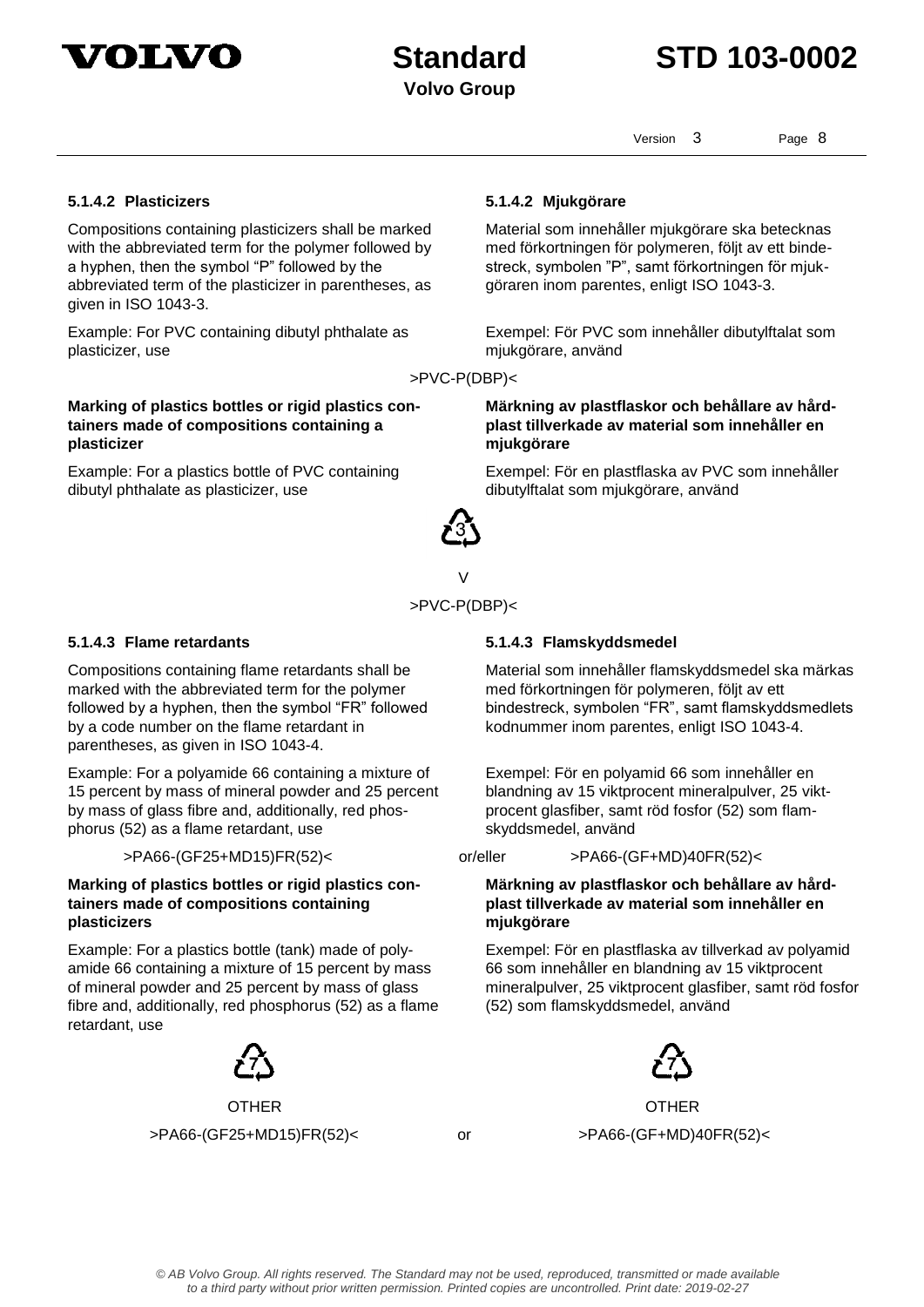

# **Volvo Group**

## **Standard STD 103-0002**

Version 3 Page 8

Compositions containing plasticizers shall be marked with the abbreviated term for the polymer followed by a hyphen, then the symbol "P" followed by the abbreviated term of the plasticizer in parentheses, as given in ISO 1043-3.

Example: For PVC containing dibutyl phthalate as plasticizer, use

#### **Marking of plastics bottles or rigid plastics containers made of compositions containing a plasticizer**

Example: For a plastics bottle of PVC containing dibutyl phthalate as plasticizer, use

#### **5.1.4.2 Plasticizers 5.1.4.2 Mjukgörare**

Material som innehåller mjukgörare ska betecknas med förkortningen för polymeren, följt av ett bindestreck, symbolen "P", samt förkortningen för mjukgöraren inom parentes, enligt ISO 1043-3.

Exempel: För PVC som innehåller dibutylftalat som mjukgörare, använd

>PVC-P(DBP)<

**Märkning av plastflaskor och behållare av hårdplast tillverkade av material som innehåller en mjukgörare**

Exempel: För en plastflaska av PVC som innehåller dibutylftalat som mjukgörare, använd



### V >PVC-P(DBP)<

Compositions containing flame retardants shall be marked with the abbreviated term for the polymer followed by a hyphen, then the symbol "FR" followed by a code number on the flame retardant in parentheses, as given in ISO 1043-4.

Example: For a polyamide 66 containing a mixture of 15 percent by mass of mineral powder and 25 percent by mass of glass fibre and, additionally, red phosphorus (52) as a flame retardant, use

>PA66-(GF25+MD15)FR(52)< or/eller >PA66-(GF+MD)40FR(52)<

#### **Marking of plastics bottles or rigid plastics containers made of compositions containing plasticizers**

Example: For a plastics bottle (tank) made of polyamide 66 containing a mixture of 15 percent by mass of mineral powder and 25 percent by mass of glass fibre and, additionally, red phosphorus (52) as a flame retardant, use



OTHER OTHER >PA66-(GF25+MD15)FR(52)< or >PA66-(GF+MD)40FR(52)<

#### **5.1.4.3 Flame retardants 5.1.4.3 Flamskyddsmedel**

Material som innehåller flamskyddsmedel ska märkas med förkortningen för polymeren, följt av ett bindestreck, symbolen "FR", samt flamskyddsmedlets kodnummer inom parentes, enligt ISO 1043-4.

Exempel: För en polyamid 66 som innehåller en blandning av 15 viktprocent mineralpulver, 25 viktprocent glasfiber, samt röd fosfor (52) som flamskyddsmedel, använd

#### **Märkning av plastflaskor och behållare av hårdplast tillverkade av material som innehåller en mjukgörare**

Exempel: För en plastflaska av tillverkad av polyamid 66 som innehåller en blandning av 15 viktprocent mineralpulver, 25 viktprocent glasfiber, samt röd fosfor (52) som flamskyddsmedel, använd

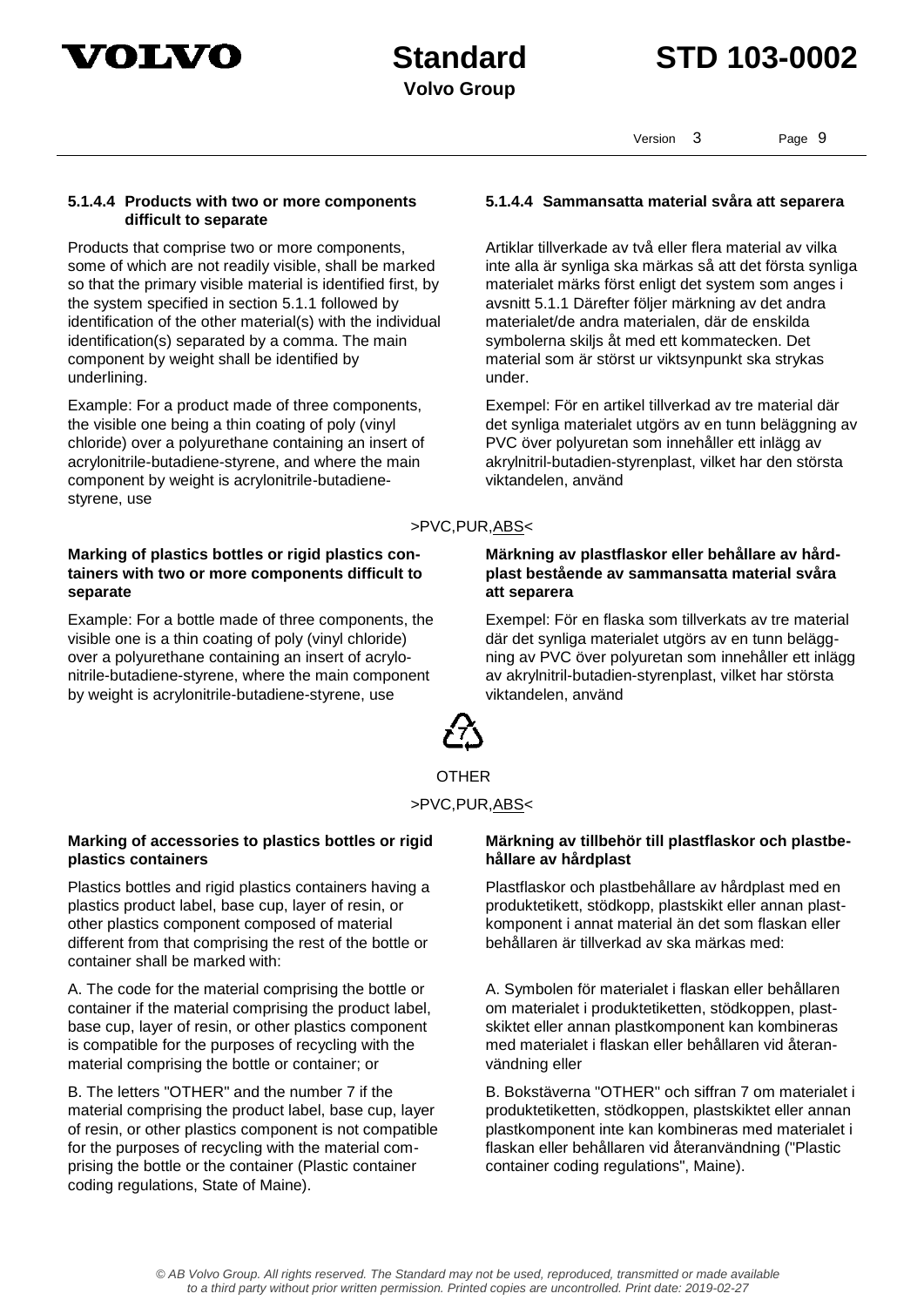



Version 3 Page 9

#### **5.1.4.4 Products with two or more components difficult to separate**

Products that comprise two or more components, some of which are not readily visible, shall be marked so that the primary visible material is identified first, by the system specified in section 5.1.1 followed by identification of the other material(s) with the individual identification(s) separated by a comma. The main component by weight shall be identified by underlining.

Example: For a product made of three components, the visible one being a thin coating of poly (vinyl chloride) over a polyurethane containing an insert of acrylonitrile-butadiene-styrene, and where the main component by weight is acrylonitrile-butadienestyrene, use

### **Marking of plastics bottles or rigid plastics containers with two or more components difficult to separate**

Example: For a bottle made of three components, the visible one is a thin coating of poly (vinyl chloride) over a polyurethane containing an insert of acrylonitrile-butadiene-styrene, where the main component by weight is acrylonitrile-butadiene-styrene, use

### **5.1.4.4 Sammansatta material svåra att separera**

Artiklar tillverkade av två eller flera material av vilka inte alla är synliga ska märkas så att det första synliga materialet märks först enligt det system som anges i avsnitt 5.1.1 Därefter följer märkning av det andra materialet/de andra materialen, där de enskilda symbolerna skiljs åt med ett kommatecken. Det material som är störst ur viktsynpunkt ska strykas under.

Exempel: För en artikel tillverkad av tre material där det synliga materialet utgörs av en tunn beläggning av PVC över polyuretan som innehåller ett inlägg av akrylnitril-butadien-styrenplast, vilket har den största viktandelen, använd

### >PVC,PUR, ABS<

#### **Märkning av plastflaskor eller behållare av hårdplast bestående av sammansatta material svåra att separera**

Exempel: För en flaska som tillverkats av tre material där det synliga materialet utgörs av en tunn beläggning av PVC över polyuretan som innehåller ett inlägg av akrylnitril-butadien-styrenplast, vilket har största viktandelen, använd



## OTHER

### >PVC,PUR,ABS<

#### **Marking of accessories to plastics bottles or rigid plastics containers**

Plastics bottles and rigid plastics containers having a plastics product label, base cup, layer of resin, or other plastics component composed of material different from that comprising the rest of the bottle or container shall be marked with:

A. The code for the material comprising the bottle or container if the material comprising the product label, base cup, layer of resin, or other plastics component is compatible for the purposes of recycling with the material comprising the bottle or container; or

B. The letters "OTHER" and the number 7 if the material comprising the product label, base cup, layer of resin, or other plastics component is not compatible for the purposes of recycling with the material comprising the bottle or the container (Plastic container coding regulations, State of Maine).

#### **Märkning av tillbehör till plastflaskor och plastbehållare av hårdplast**

Plastflaskor och plastbehållare av hårdplast med en produktetikett, stödkopp, plastskikt eller annan plastkomponent i annat material än det som flaskan eller behållaren är tillverkad av ska märkas med:

A. Symbolen för materialet i flaskan eller behållaren om materialet i produktetiketten, stödkoppen, plastskiktet eller annan plastkomponent kan kombineras med materialet i flaskan eller behållaren vid återanvändning eller

B. Bokstäverna "OTHER" och siffran 7 om materialet i produktetiketten, stödkoppen, plastskiktet eller annan plastkomponent inte kan kombineras med materialet i flaskan eller behållaren vid återanvändning ("Plastic container coding regulations", Maine).